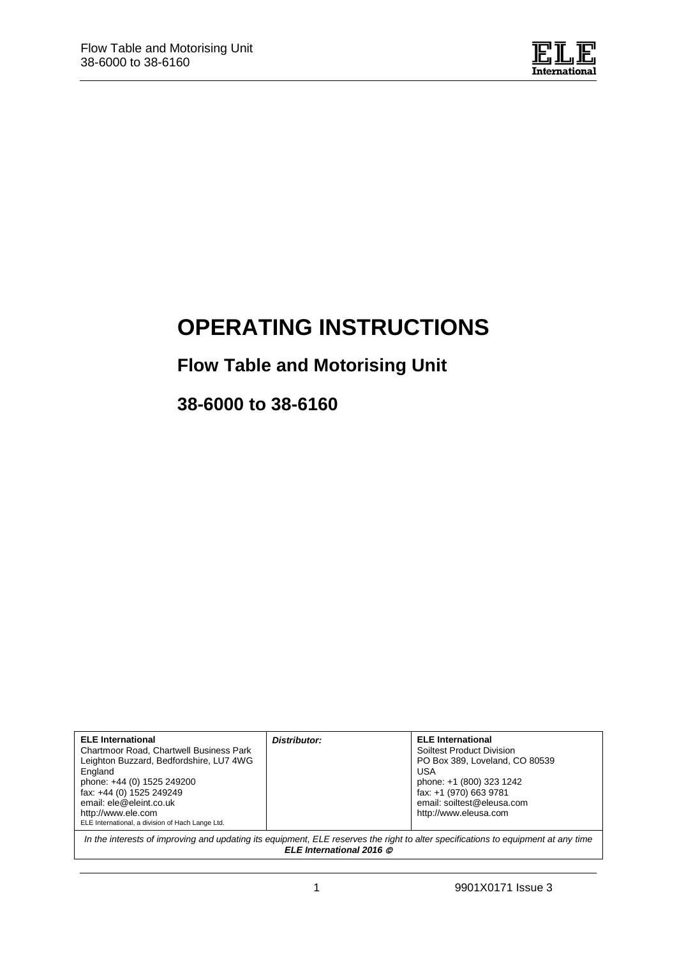

# **OPERATING INSTRUCTIONS**

# **Flow Table and Motorising Unit**

**38-6000 to 38-6160**

| <b>ELE</b> International<br>Chartmoor Road, Chartwell Business Park<br>Leighton Buzzard, Bedfordshire, LU7 4WG<br>England<br>phone: +44 (0) 1525 249200<br>fax: +44 (0) 1525 249249<br>email: ele@eleint.co.uk<br>http://www.ele.com<br>ELE International, a division of Hach Lange Ltd. | Distributor: | <b>ELE</b> International<br>Soiltest Product Division<br>PO Box 389, Loveland, CO 80539<br>USA<br>phone: +1 (800) 323 1242<br>fax: +1 (970) 663 9781<br>email: soiltest@eleusa.com<br>http://www.eleusa.com |  |
|------------------------------------------------------------------------------------------------------------------------------------------------------------------------------------------------------------------------------------------------------------------------------------------|--------------|-------------------------------------------------------------------------------------------------------------------------------------------------------------------------------------------------------------|--|
| In the interests of improving and updating its equipment, ELE reserves the right to alter specifications to equipment at any time<br>ELE International 2016 ©                                                                                                                            |              |                                                                                                                                                                                                             |  |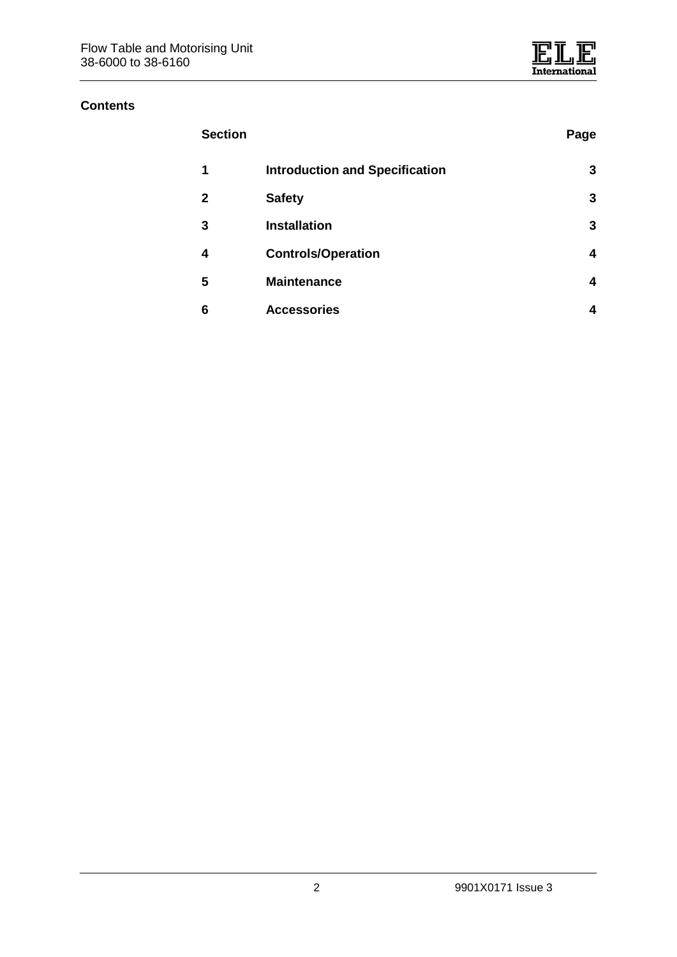#### **Contents**

| <b>Section</b> |                                       | Page |
|----------------|---------------------------------------|------|
| 1              | <b>Introduction and Specification</b> | 3    |
| 2              | <b>Safety</b>                         | 3    |
| 3              | <b>Installation</b>                   | 3    |
| 4              | <b>Controls/Operation</b>             | 4    |
| 5              | <b>Maintenance</b>                    | 4    |
| 6              | <b>Accessories</b>                    | 4    |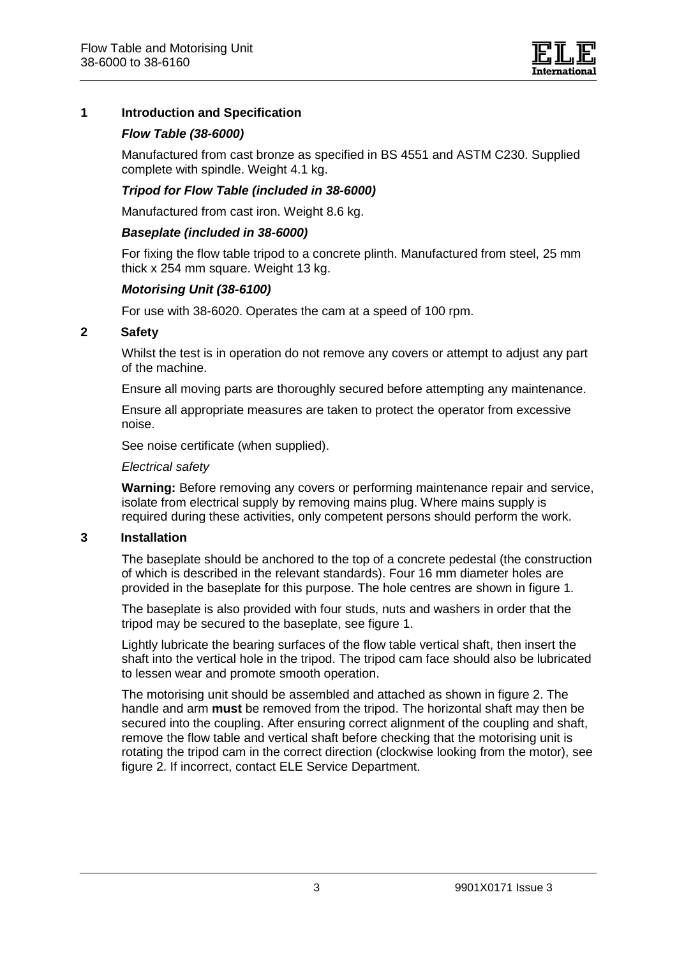

# **1 Introduction and Specification**

## *Flow Table (38-6000)*

Manufactured from cast bronze as specified in BS 4551 and ASTM C230. Supplied complete with spindle. Weight 4.1 kg.

#### *Tripod for Flow Table (included in 38-6000)*

Manufactured from cast iron. Weight 8.6 kg.

#### *Baseplate (included in 38-6000)*

For fixing the flow table tripod to a concrete plinth. Manufactured from steel, 25 mm thick x 254 mm square. Weight 13 kg.

#### *Motorising Unit (38-6100)*

For use with 38-6020. Operates the cam at a speed of 100 rpm.

## **2 Safety**

Whilst the test is in operation do not remove any covers or attempt to adjust any part of the machine.

Ensure all moving parts are thoroughly secured before attempting any maintenance.

Ensure all appropriate measures are taken to protect the operator from excessive noise.

See noise certificate (when supplied).

#### *Electrical safety*

**Warning:** Before removing any covers or performing maintenance repair and service, isolate from electrical supply by removing mains plug. Where mains supply is required during these activities, only competent persons should perform the work.

#### **3 Installation**

The baseplate should be anchored to the top of a concrete pedestal (the construction of which is described in the relevant standards). Four 16 mm diameter holes are provided in the baseplate for this purpose. The hole centres are shown in figure 1.

The baseplate is also provided with four studs, nuts and washers in order that the tripod may be secured to the baseplate, see figure 1.

Lightly lubricate the bearing surfaces of the flow table vertical shaft, then insert the shaft into the vertical hole in the tripod. The tripod cam face should also be lubricated to lessen wear and promote smooth operation.

The motorising unit should be assembled and attached as shown in figure 2. The handle and arm **must** be removed from the tripod. The horizontal shaft may then be secured into the coupling. After ensuring correct alignment of the coupling and shaft, remove the flow table and vertical shaft before checking that the motorising unit is rotating the tripod cam in the correct direction (clockwise looking from the motor), see figure 2. If incorrect, contact ELE Service Department.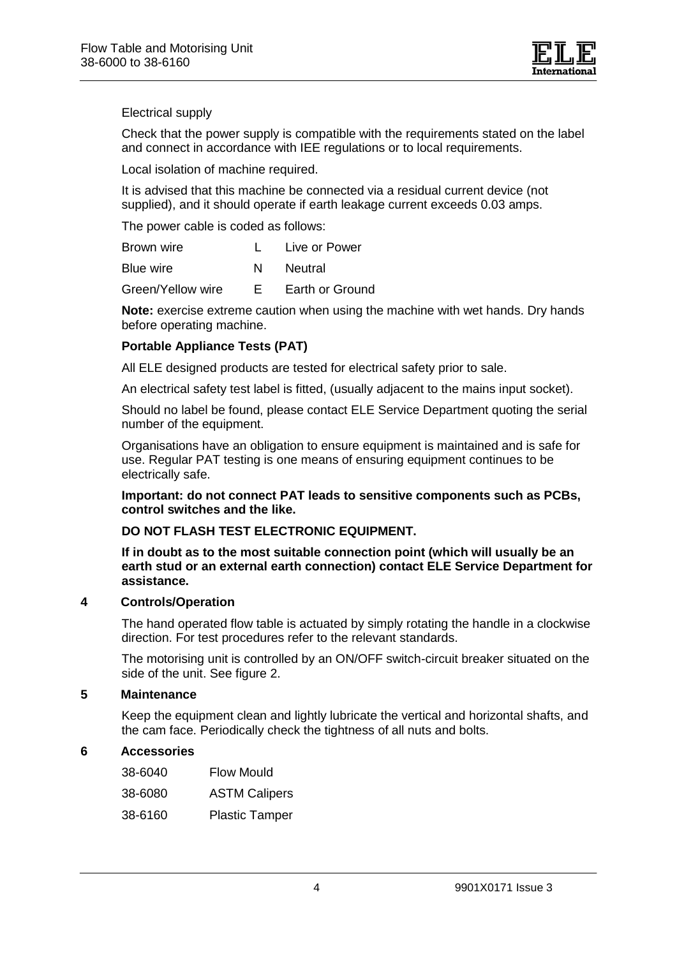

Electrical supply

Check that the power supply is compatible with the requirements stated on the label and connect in accordance with IEE regulations or to local requirements.

Local isolation of machine required.

It is advised that this machine be connected via a residual current device (not supplied), and it should operate if earth leakage current exceeds 0.03 amps.

The power cable is coded as follows:

| Brown wire | Live or Power |
|------------|---------------|
| Blue wire  | Neutral       |

Green/Yellow wire E Earth or Ground

**Note:** exercise extreme caution when using the machine with wet hands. Dry hands before operating machine.

## **Portable Appliance Tests (PAT)**

All ELE designed products are tested for electrical safety prior to sale.

An electrical safety test label is fitted, (usually adjacent to the mains input socket).

Should no label be found, please contact ELE Service Department quoting the serial number of the equipment.

Organisations have an obligation to ensure equipment is maintained and is safe for use. Regular PAT testing is one means of ensuring equipment continues to be electrically safe.

**Important: do not connect PAT leads to sensitive components such as PCBs, control switches and the like.**

#### **DO NOT FLASH TEST ELECTRONIC EQUIPMENT.**

**If in doubt as to the most suitable connection point (which will usually be an earth stud or an external earth connection) contact ELE Service Department for assistance.**

#### **4 Controls/Operation**

The hand operated flow table is actuated by simply rotating the handle in a clockwise direction. For test procedures refer to the relevant standards.

The motorising unit is controlled by an ON/OFF switch-circuit breaker situated on the side of the unit. See figure 2.

#### **5 Maintenance**

Keep the equipment clean and lightly lubricate the vertical and horizontal shafts, and the cam face. Periodically check the tightness of all nuts and bolts.

#### **6 Accessories**

| 38-6040 | <b>Flow Mould</b>     |
|---------|-----------------------|
| 38-6080 | <b>ASTM Calipers</b>  |
| 38-6160 | <b>Plastic Tamper</b> |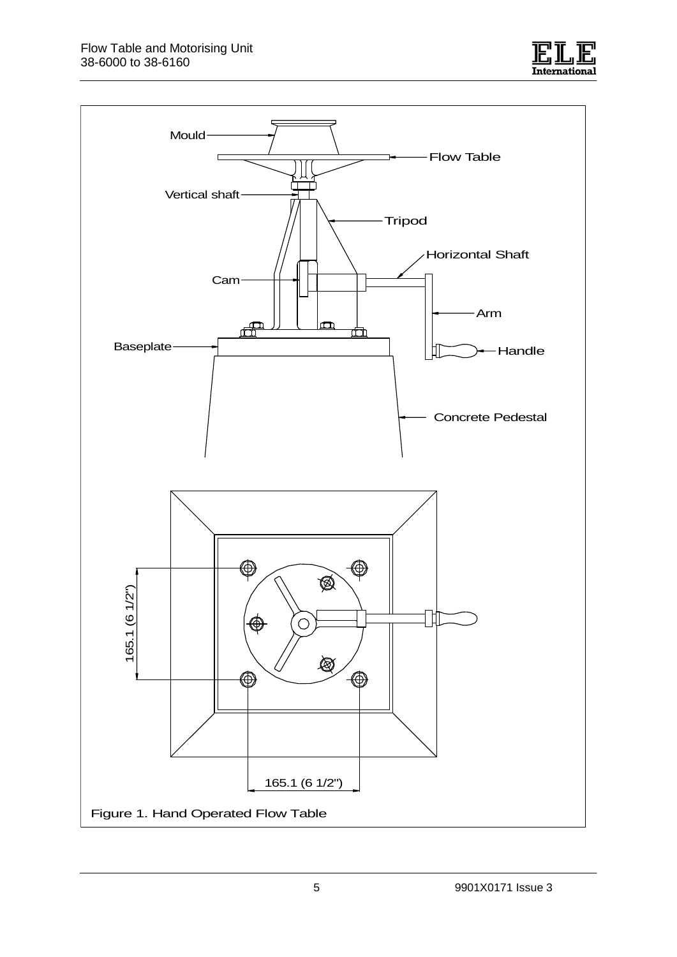